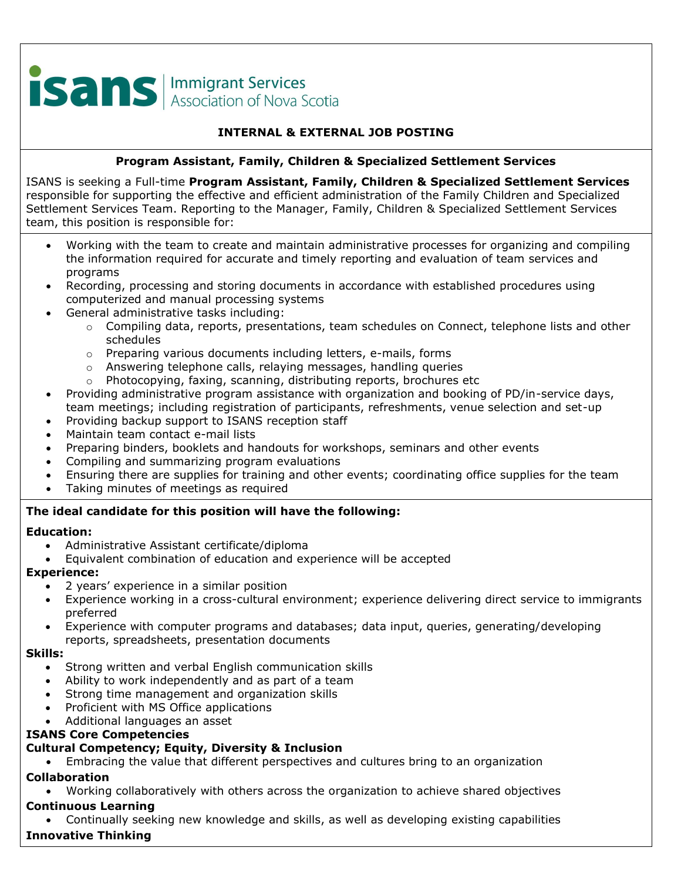# **ISANS** Association of Nova Scotia

## **INTERNAL & EXTERNAL JOB POSTING**

## **Program Assistant, Family, Children & Specialized Settlement Services**

ISANS is seeking a Full-time **Program Assistant, Family, Children & Specialized Settlement Services**  responsible for supporting the effective and efficient administration of the Family Children and Specialized Settlement Services Team. Reporting to the Manager, Family, Children & Specialized Settlement Services team, this position is responsible for:

- Working with the team to create and maintain administrative processes for organizing and compiling the information required for accurate and timely reporting and evaluation of team services and programs
- Recording, processing and storing documents in accordance with established procedures using computerized and manual processing systems
- General administrative tasks including:
	- $\circ$  Compiling data, reports, presentations, team schedules on Connect, telephone lists and other schedules
	- o Preparing various documents including letters, e-mails, forms
	- o Answering telephone calls, relaying messages, handling queries
	- o Photocopying, faxing, scanning, distributing reports, brochures etc
- Providing administrative program assistance with organization and booking of PD/in-service days, team meetings; including registration of participants, refreshments, venue selection and set-up
- Providing backup support to ISANS reception staff
- Maintain team contact e-mail lists
- Preparing binders, booklets and handouts for workshops, seminars and other events
- Compiling and summarizing program evaluations
- Ensuring there are supplies for training and other events; coordinating office supplies for the team
- Taking minutes of meetings as required

## **The ideal candidate for this position will have the following:**

## **Education:**

- Administrative Assistant certificate/diploma
- Equivalent combination of education and experience will be accepted

## **Experience:**

- 2 years' experience in a similar position
- Experience working in a cross-cultural environment; experience delivering direct service to immigrants preferred
- Experience with computer programs and databases; data input, queries, generating/developing reports, spreadsheets, presentation documents

#### **Skills:**

- Strong written and verbal English communication skills
- Ability to work independently and as part of a team
- Strong time management and organization skills
- Proficient with MS Office applications
- Additional languages an asset

## **ISANS Core Competencies**

# **Cultural Competency; Equity, Diversity & Inclusion**

• Embracing the value that different perspectives and cultures bring to an organization

# **Collaboration**

• Working collaboratively with others across the organization to achieve shared objectives

# **Continuous Learning**

• Continually seeking new knowledge and skills, as well as developing existing capabilities

# **Innovative Thinking**